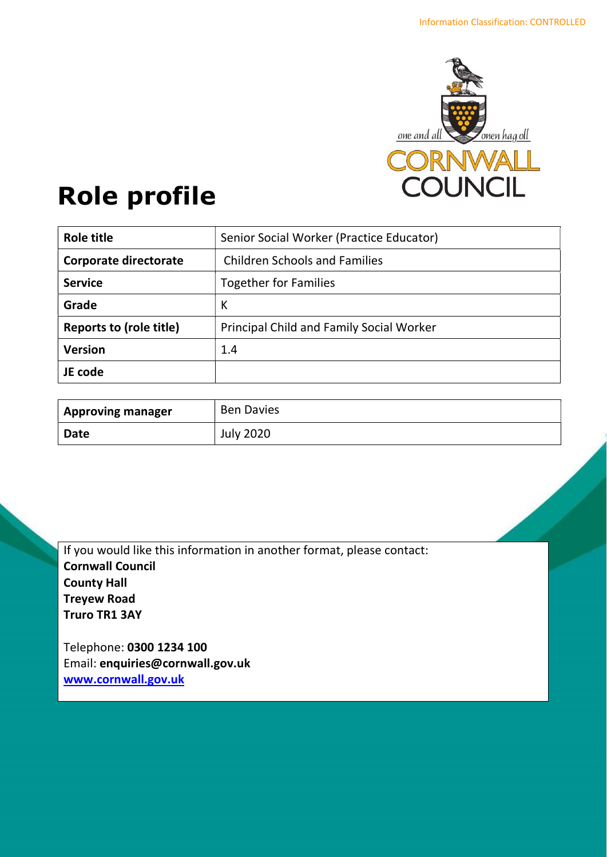

# Role profile

| <b>Role title</b>              | Senior Social Worker (Practice Educator) |
|--------------------------------|------------------------------------------|
| Corporate directorate          | <b>Children Schools and Families</b>     |
| <b>Service</b>                 | <b>Together for Families</b>             |
| Grade                          | К                                        |
| <b>Reports to (role title)</b> | Principal Child and Family Social Worker |
| <b>Version</b>                 | 1.4                                      |
| JE code                        |                                          |

| <b>Approving manager</b> | <b>Ben Davies</b> |
|--------------------------|-------------------|
| <b>Date</b>              | <b>July 2020</b>  |

If you would like this information in another format, please contact: Cornwall Council County Hall Treyew Road Truro TR1 3AY

Telephone: 0300 1234 100 Email: enquiries@cornwall.gov.uk www.cornwall.gov.uk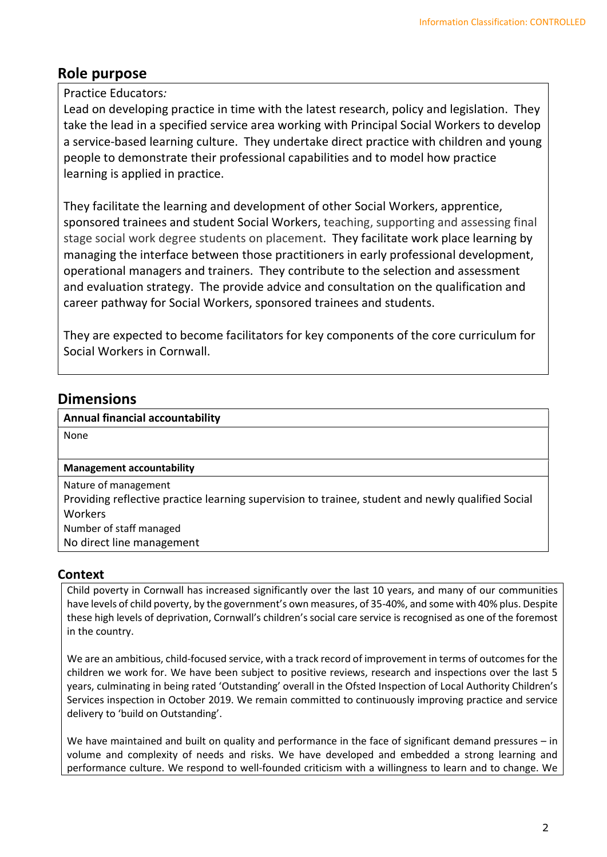## Role purpose

## Practice Educators:

Lead on developing practice in time with the latest research, policy and legislation. They take the lead in a specified service area working with Principal Social Workers to develop a service-based learning culture. They undertake direct practice with children and young people to demonstrate their professional capabilities and to model how practice learning is applied in practice.

They facilitate the learning and development of other Social Workers, apprentice, sponsored trainees and student Social Workers, teaching, supporting and assessing final stage social work degree students on placement. They facilitate work place learning by managing the interface between those practitioners in early professional development, operational managers and trainers. They contribute to the selection and assessment and evaluation strategy. The provide advice and consultation on the qualification and career pathway for Social Workers, sponsored trainees and students.

They are expected to become facilitators for key components of the core curriculum for Social Workers in Cornwall.

## **Dimensions**

## Annual financial accountability

None

## Management accountability

Nature of management Providing reflective practice learning supervision to trainee, student and newly qualified Social Workers Number of staff managed No direct line management

## **Context**

Child poverty in Cornwall has increased significantly over the last 10 years, and many of our communities have levels of child poverty, by the government's own measures, of 35-40%, and some with 40% plus. Despite these high levels of deprivation, Cornwall's children's social care service is recognised as one of the foremost in the country.

We are an ambitious, child-focused service, with a track record of improvement in terms of outcomes for the children we work for. We have been subject to positive reviews, research and inspections over the last 5 years, culminating in being rated 'Outstanding' overall in the Ofsted Inspection of Local Authority Children's Services inspection in October 2019. We remain committed to continuously improving practice and service delivery to 'build on Outstanding'.

We have maintained and built on quality and performance in the face of significant demand pressures – in volume and complexity of needs and risks. We have developed and embedded a strong learning and performance culture. We respond to well-founded criticism with a willingness to learn and to change. We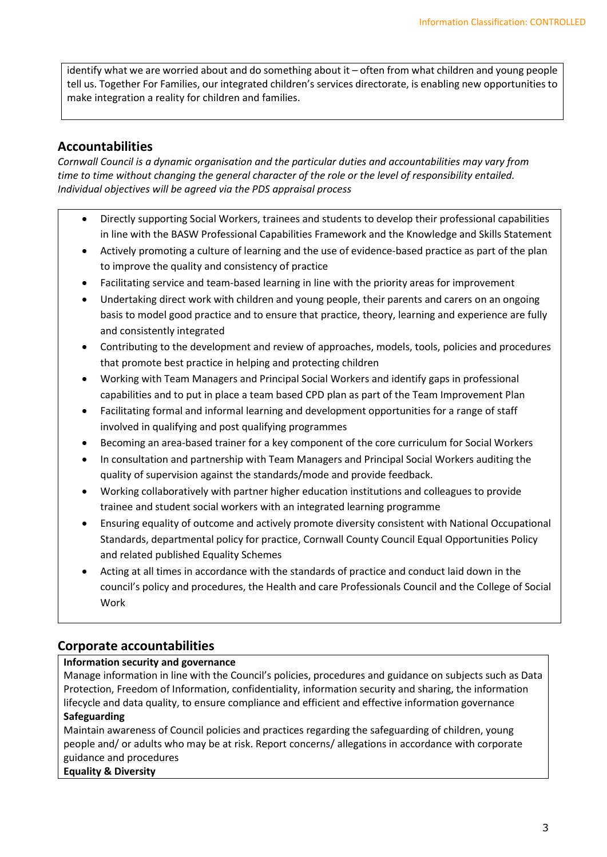identify what we are worried about and do something about it – often from what children and young people tell us. Together For Families, our integrated children's services directorate, is enabling new opportunities to make integration a reality for children and families.

## Accountabilities

Cornwall Council is a dynamic organisation and the particular duties and accountabilities may vary from time to time without changing the general character of the role or the level of responsibility entailed. Individual objectives will be agreed via the PDS appraisal process

- Directly supporting Social Workers, trainees and students to develop their professional capabilities in line with the BASW Professional Capabilities Framework and the Knowledge and Skills Statement
- Actively promoting a culture of learning and the use of evidence-based practice as part of the plan to improve the quality and consistency of practice
- Facilitating service and team-based learning in line with the priority areas for improvement
- Undertaking direct work with children and young people, their parents and carers on an ongoing basis to model good practice and to ensure that practice, theory, learning and experience are fully and consistently integrated
- Contributing to the development and review of approaches, models, tools, policies and procedures that promote best practice in helping and protecting children
- Working with Team Managers and Principal Social Workers and identify gaps in professional capabilities and to put in place a team based CPD plan as part of the Team Improvement Plan
- Facilitating formal and informal learning and development opportunities for a range of staff involved in qualifying and post qualifying programmes
- Becoming an area-based trainer for a key component of the core curriculum for Social Workers
- In consultation and partnership with Team Managers and Principal Social Workers auditing the quality of supervision against the standards/mode and provide feedback.
- Working collaboratively with partner higher education institutions and colleagues to provide trainee and student social workers with an integrated learning programme
- Ensuring equality of outcome and actively promote diversity consistent with National Occupational Standards, departmental policy for practice, Cornwall County Council Equal Opportunities Policy and related published Equality Schemes
- Acting at all times in accordance with the standards of practice and conduct laid down in the council's policy and procedures, the Health and care Professionals Council and the College of Social Work

## Corporate accountabilities

## Information security and governance

Manage information in line with the Council's policies, procedures and guidance on subjects such as Data Protection, Freedom of Information, confidentiality, information security and sharing, the information lifecycle and data quality, to ensure compliance and efficient and effective information governance Safeguarding

Maintain awareness of Council policies and practices regarding the safeguarding of children, young people and/ or adults who may be at risk. Report concerns/ allegations in accordance with corporate guidance and procedures

## Equality & Diversity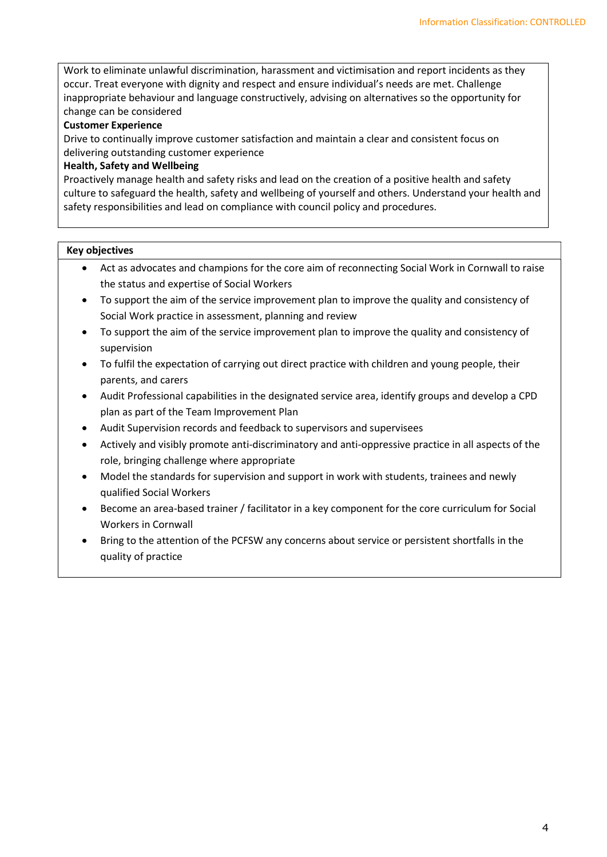Work to eliminate unlawful discrimination, harassment and victimisation and report incidents as they occur. Treat everyone with dignity and respect and ensure individual's needs are met. Challenge inappropriate behaviour and language constructively, advising on alternatives so the opportunity for change can be considered

#### Customer Experience

Drive to continually improve customer satisfaction and maintain a clear and consistent focus on delivering outstanding customer experience

#### Health, Safety and Wellbeing

Proactively manage health and safety risks and lead on the creation of a positive health and safety culture to safeguard the health, safety and wellbeing of yourself and others. Understand your health and safety responsibilities and lead on compliance with council policy and procedures.

#### Key objectives

- Act as advocates and champions for the core aim of reconnecting Social Work in Cornwall to raise the status and expertise of Social Workers
- To support the aim of the service improvement plan to improve the quality and consistency of Social Work practice in assessment, planning and review
- To support the aim of the service improvement plan to improve the quality and consistency of supervision
- To fulfil the expectation of carrying out direct practice with children and young people, their parents, and carers
- Audit Professional capabilities in the designated service area, identify groups and develop a CPD plan as part of the Team Improvement Plan
- Audit Supervision records and feedback to supervisors and supervisees
- Actively and visibly promote anti-discriminatory and anti-oppressive practice in all aspects of the role, bringing challenge where appropriate
- Model the standards for supervision and support in work with students, trainees and newly qualified Social Workers
- Become an area-based trainer / facilitator in a key component for the core curriculum for Social Workers in Cornwall
- Bring to the attention of the PCFSW any concerns about service or persistent shortfalls in the quality of practice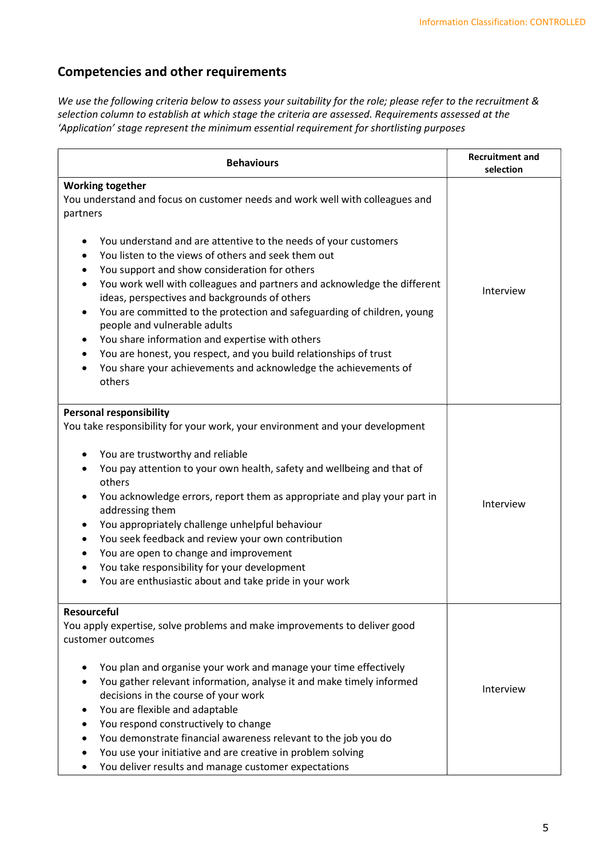## Competencies and other requirements

We use the following criteria below to assess your suitability for the role; please refer to the recruitment & selection column to establish at which stage the criteria are assessed. Requirements assessed at the 'Application' stage represent the minimum essential requirement for shortlisting purposes

| <b>Behaviours</b>                                                                                                                                                                                                                                                                                                                                                                                                                                                                                                                                                                                                                                                                  | <b>Recruitment and</b><br>selection |
|------------------------------------------------------------------------------------------------------------------------------------------------------------------------------------------------------------------------------------------------------------------------------------------------------------------------------------------------------------------------------------------------------------------------------------------------------------------------------------------------------------------------------------------------------------------------------------------------------------------------------------------------------------------------------------|-------------------------------------|
| <b>Working together</b><br>You understand and focus on customer needs and work well with colleagues and<br>partners<br>You understand and are attentive to the needs of your customers<br>You listen to the views of others and seek them out<br>$\bullet$                                                                                                                                                                                                                                                                                                                                                                                                                         |                                     |
| You support and show consideration for others<br>$\bullet$<br>You work well with colleagues and partners and acknowledge the different<br>$\bullet$<br>ideas, perspectives and backgrounds of others<br>You are committed to the protection and safeguarding of children, young<br>people and vulnerable adults<br>You share information and expertise with others<br>٠                                                                                                                                                                                                                                                                                                            | Interview                           |
| You are honest, you respect, and you build relationships of trust<br>$\bullet$<br>You share your achievements and acknowledge the achievements of<br>others                                                                                                                                                                                                                                                                                                                                                                                                                                                                                                                        |                                     |
| <b>Personal responsibility</b><br>You take responsibility for your work, your environment and your development<br>You are trustworthy and reliable<br>You pay attention to your own health, safety and wellbeing and that of<br>$\bullet$<br>others<br>You acknowledge errors, report them as appropriate and play your part in<br>addressing them<br>You appropriately challenge unhelpful behaviour<br>$\bullet$<br>You seek feedback and review your own contribution<br>$\bullet$<br>You are open to change and improvement<br>$\bullet$<br>You take responsibility for your development<br>$\bullet$<br>You are enthusiastic about and take pride in your work<br>Resourceful | Interview                           |
| You apply expertise, solve problems and make improvements to deliver good<br>customer outcomes<br>You plan and organise your work and manage your time effectively<br>You gather relevant information, analyse it and make timely informed<br>decisions in the course of your work<br>You are flexible and adaptable<br>You respond constructively to change<br>You demonstrate financial awareness relevant to the job you do<br>$\bullet$<br>You use your initiative and are creative in problem solving<br>You deliver results and manage customer expectations                                                                                                                 | Interview                           |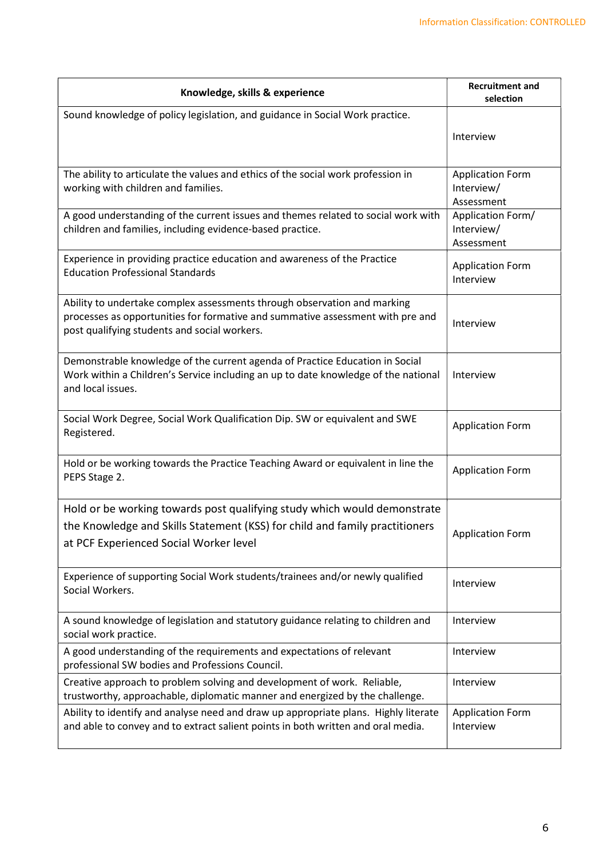| Knowledge, skills & experience                                                                                                                                     | <b>Recruitment and</b><br>selection   |
|--------------------------------------------------------------------------------------------------------------------------------------------------------------------|---------------------------------------|
| Sound knowledge of policy legislation, and guidance in Social Work practice.                                                                                       |                                       |
|                                                                                                                                                                    | Interview                             |
|                                                                                                                                                                    |                                       |
| The ability to articulate the values and ethics of the social work profession in<br>working with children and families.                                            | <b>Application Form</b><br>Interview/ |
|                                                                                                                                                                    | Assessment                            |
| A good understanding of the current issues and themes related to social work with<br>children and families, including evidence-based practice.                     | Application Form/<br>Interview/       |
|                                                                                                                                                                    | Assessment                            |
| Experience in providing practice education and awareness of the Practice<br><b>Education Professional Standards</b>                                                | <b>Application Form</b>               |
|                                                                                                                                                                    | Interview                             |
| Ability to undertake complex assessments through observation and marking                                                                                           |                                       |
| processes as opportunities for formative and summative assessment with pre and<br>post qualifying students and social workers.                                     | Interview                             |
|                                                                                                                                                                    |                                       |
| Demonstrable knowledge of the current agenda of Practice Education in Social<br>Work within a Children's Service including an up to date knowledge of the national | Interview                             |
| and local issues.                                                                                                                                                  |                                       |
| Social Work Degree, Social Work Qualification Dip. SW or equivalent and SWE                                                                                        |                                       |
| Registered.                                                                                                                                                        | <b>Application Form</b>               |
| Hold or be working towards the Practice Teaching Award or equivalent in line the                                                                                   |                                       |
| PEPS Stage 2.                                                                                                                                                      | <b>Application Form</b>               |
| Hold or be working towards post qualifying study which would demonstrate                                                                                           |                                       |
| the Knowledge and Skills Statement (KSS) for child and family practitioners                                                                                        |                                       |
| at PCF Experienced Social Worker level                                                                                                                             | <b>Application Form</b>               |
|                                                                                                                                                                    |                                       |
| Experience of supporting Social Work students/trainees and/or newly qualified<br>Social Workers.                                                                   | Interview                             |
|                                                                                                                                                                    |                                       |
| A sound knowledge of legislation and statutory guidance relating to children and<br>social work practice.                                                          | Interview                             |
| A good understanding of the requirements and expectations of relevant<br>professional SW bodies and Professions Council.                                           | Interview                             |
| Creative approach to problem solving and development of work. Reliable,<br>trustworthy, approachable, diplomatic manner and energized by the challenge.            | Interview                             |
| Ability to identify and analyse need and draw up appropriate plans. Highly literate                                                                                | <b>Application Form</b>               |
| and able to convey and to extract salient points in both written and oral media.                                                                                   | Interview                             |